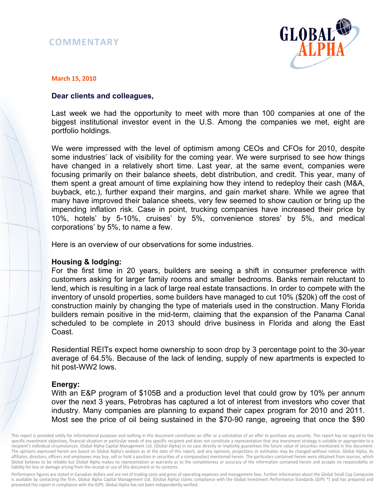# **COMMENTARY**



#### **March 15, 2010**

#### **Dear clients and colleagues,**

Last week we had the opportunity to meet with more than 100 companies at one of the biggest institutional investor event in the U.S. Among the companies we met, eight are portfolio holdings.

We were impressed with the level of optimism among CEOs and CFOs for 2010, despite some industries' lack of visibility for the coming year. We were surprised to see how things have changed in a relatively short time. Last year, at the same event, companies were focusing primarily on their balance sheets, debt distribution, and credit. This year, many of them spent a great amount of time explaining how they intend to redeploy their cash (M&A, buyback, etc.), further expand their margins, and gain market share. While we agree that many have improved their balance sheets, very few seemed to show caution or bring up the impending inflation risk. Case in point, trucking companies have increased their price by 10%, hotels' by 5-10%, cruises' by 5%, convenience stores' by 5%, and medical corporations' by 5%, to name a few.

Here is an overview of our observations for some industries.

#### **Housing & lodging:**

For the first time in 20 years, builders are seeing a shift in consumer preference with customers asking for larger family rooms and smaller bedrooms. Banks remain reluctant to lend, which is resulting in a lack of large real estate transactions. In order to compete with the inventory of unsold properties, some builders have managed to cut 10% (\$20k) off the cost of construction mainly by changing the type of materials used in the construction. Many Florida builders remain positive in the mid-term, claiming that the expansion of the Panama Canal scheduled to be complete in 2013 should drive business in Florida and along the East Coast.

Residential REITs expect home ownership to soon drop by 3 percentage point to the 30-year average of 64.5%. Because of the lack of lending, supply of new apartments is expected to hit post-WW2 lows.

# **Energy:**

With an E&P program of \$105B and a production level that could grow by 10% per annum over the next 3 years, Petrobras has captured a lot of interest from investors who cover that industry. Many companies are planning to expand their capex program for 2010 and 2011. Most see the price of oil being sustained in the \$70-90 range, agreeing that once the \$90

Performance figures are stated in Canadian dollars and are net of trading costs and gross of operating expenses and management fees. Further information about the Global Small Cap Composite is available by contacting the firm. Global Alpha Capital Management Ltd. (Global Alpha) claims compliance with the Global Investment Performance Standards (GIPS ®) and has prepared and presented this report in compliance with the GIPS. Global Alpha has not been independently verified.

This report is provided solely for informational purposes and nothing in this document constitutes an offer or a solicitation of an offer to purchase any security. This report has no regard to the specific investment objectives, financial situation or particular needs of any specific recipient and does not constitute a representation that any investment strategy is suitable or appropriate to a recipient's individual circumstances. Global Alpha Capital Management Ltd. (Global Alpha) in no case directly or implicitly guarantees the future value of securities mentioned in this document. The opinions expressed herein are based on Global Alpha's analysis as at the date of this report, and any opinions, projections or estimates may be changed without notice. Global Alpha, its affiliates, directors, officers and employees may buy, sell or hold a position in securities of a company(ies) mentioned herein. The particulars contained herein were obtained from sources, which Global believes to be reliable but Global Alpha makes no representation or warranty as to the completeness or accuracy of the information contained herein and accepts no responsibility or liability for loss or damage arising from the receipt or use of this document or its contents.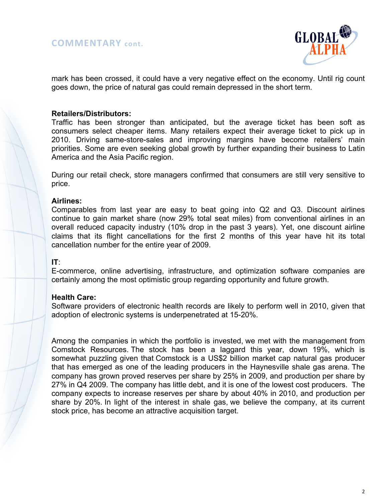

mark has been crossed, it could have a very negative effect on the economy. Until rig count goes down, the price of natural gas could remain depressed in the short term.

### **Retailers/Distributors:**

Traffic has been stronger than anticipated, but the average ticket has been soft as consumers select cheaper items. Many retailers expect their average ticket to pick up in 2010. Driving same-store-sales and improving margins have become retailers' main priorities. Some are even seeking global growth by further expanding their business to Latin America and the Asia Pacific region.

During our retail check, store managers confirmed that consumers are still very sensitive to price.

#### **Airlines:**

Comparables from last year are easy to beat going into Q2 and Q3. Discount airlines continue to gain market share (now 29% total seat miles) from conventional airlines in an overall reduced capacity industry (10% drop in the past 3 years). Yet, one discount airline claims that its flight cancellations for the first 2 months of this year have hit its total cancellation number for the entire year of 2009.

# **IT**:

E-commerce, online advertising, infrastructure, and optimization software companies are certainly among the most optimistic group regarding opportunity and future growth.

# **Health Care:**

Software providers of electronic health records are likely to perform well in 2010, given that adoption of electronic systems is underpenetrated at 15-20%.

Among the companies in which the portfolio is invested, we met with the management from Comstock Resources. The stock has been a laggard this year, down 19%, which is somewhat puzzling given that Comstock is a US\$2 billion market cap natural gas producer that has emerged as one of the leading producers in the Haynesville shale gas arena. The company has grown proved reserves per share by 25% in 2009, and production per share by 27% in Q4 2009. The company has little debt, and it is one of the lowest cost producers. The company expects to increase reserves per share by about 40% in 2010, and production per share by 20%. In light of the interest in shale gas, we believe the company, at its current stock price, has become an attractive acquisition target.